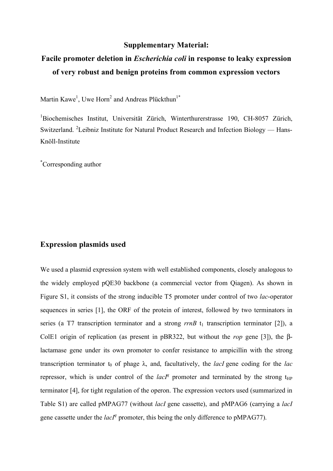### **Supplementary Material:**

# **Facile promoter deletion in** *Escherichia coli* **in response to leaky expression of very robust and benign proteins from common expression vectors**

Martin Kawe<sup>1</sup>, Uwe Horn<sup>2</sup> and Andreas Plückthun<sup>1\*</sup>

1 Biochemisches Institut, Universität Zürich, Winterthurerstrasse 190, CH-8057 Zürich, Switzerland. <sup>2</sup>Leibniz Institute for Natural Product Research and Infection Biology — Hans-Knöll-Institute

\* Corresponding author

## **Expression plasmids used**

We used a plasmid expression system with well established components, closely analogous to the widely employed pQE30 backbone (a commercial vector from Qiagen). As shown in Figure S1, it consists of the strong inducible T5 promoter under control of two *lac*-operator sequences in series [1], the ORF of the protein of interest, followed by two terminators in series (a T7 transcription terminator and a strong  $rrnB$   $t_1$  transcription terminator [2]), a ColE1 origin of replication (as present in  $pBR322$ , but without the *rop* gene [3]), the  $\beta$ lactamase gene under its own promoter to confer resistance to ampicillin with the strong transcription terminator  $t_0$  of phage  $\lambda$ , and, facultatively, the *lacI* gene coding for the *lac* repressor, which is under control of the  $lacI<sup>q</sup>$  promoter and terminated by the strong t<sub>HP</sub> terminator [4], for tight regulation of the operon. The expression vectors used (summarized in Table S1) are called pMPAG77 (without *lacI* gene cassette), and pMPAG6 (carrying a *lacI* gene cassette under the  $lacI<sup>q</sup>$  promoter, this being the only difference to pMPAG77).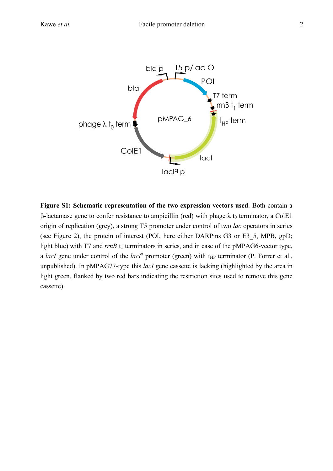

**Figure S1: Schematic representation of the two expression vectors used**. Both contain a  $\beta$ -lactamase gene to confer resistance to ampicillin (red) with phage  $\lambda$  t<sub>0</sub> terminator, a ColE1 origin of replication (grey), a strong T5 promoter under control of two *lac* operators in series (see Figure 2), the protein of interest (POI, here either DARPins G3 or E3\_5, MPB, gpD; light blue) with T7 and  $rrnB$  t<sub>1</sub> terminators in series, and in case of the pMPAG6-vector type, a *lacI* gene under control of the *lacI<sup>q</sup>* promoter (green) with  $t_{HP}$  terminator (P. Forrer et al., unpublished). In pMPAG77-type this *lacI* gene cassette is lacking (highlighted by the area in light green, flanked by two red bars indicating the restriction sites used to remove this gene cassette).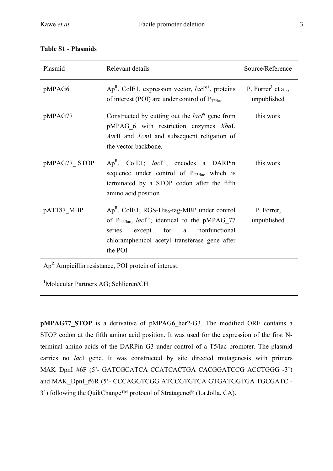| Plasmid      | Relevant details                                                                                                                                                                                                                             | Source/Reference                              |
|--------------|----------------------------------------------------------------------------------------------------------------------------------------------------------------------------------------------------------------------------------------------|-----------------------------------------------|
| pMPAG6       | $Ap^{R}$ , ColE1, expression vector, <i>lac</i> I <sup>q+</sup> , proteins<br>of interest (POI) are under control of $P_{T5/lac}$                                                                                                            | P. Forrer <sup>1</sup> et al.,<br>unpublished |
| pMPAG77      | Constructed by cutting out the $lacIq$ gene from<br>pMPAG 6 with restriction enzymes XbaI,<br>AvrII and XcmI and subsequent religation of<br>the vector backbone.                                                                            | this work                                     |
| pMPAG77 STOP | $Ap^{R}$ , ColE1; <i>lac</i> I <sup>q-</sup> , encodes a DARPin<br>sequence under control of $P_{T5/lac}$ which is<br>terminated by a STOP codon after the fifth<br>amino acid position                                                      | this work                                     |
| pAT187 MBP   | $Ap^{R}$ , ColE1, RGS-His <sub>6</sub> -tag-MBP under control<br>of $P_{T5/1ac}$ , <i>lac</i> <sup>[q-</sup> ; identical to the pMPAG 77<br>except for a nonfunctional<br>series<br>chloramphenicol acetyl transferase gene after<br>the POI | P. Forrer,<br>unpublished                     |

### **Table S1 - Plasmids**

 $Ap<sup>R</sup>$  Ampicillin resistance, POI protein of interest.

<sup>1</sup>Molecular Partners AG; Schlieren/CH

**pMPAG77\_STOP** is a derivative of pMPAG6\_her2-G3. The modified ORF contains a STOP codon at the fifth amino acid position. It was used for the expression of the first Nterminal amino acids of the DARPin G3 under control of a T5/lac promoter. The plasmid carries no *lac*I gene. It was constructed by site directed mutagenesis with primers MAK DpnI #6F (5'- GATCGCATCA CCATCACTGA CACGGATCCG ACCTGGG -3') and MAK\_DpnI\_#6R (5'- CCCAGGTCGG ATCCGTGTCA GTGATGGTGA TGCGATC -3') following the QuikChange™ protocol of Stratagene® (La Jolla, CA).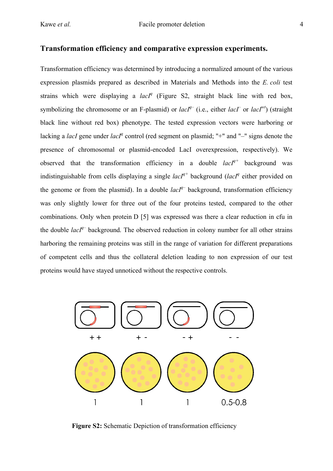## **Transformation efficiency and comparative expression experiments.**

Transformation efficiency was determined by introducing a normalized amount of the various expression plasmids prepared as described in Materials and Methods into the *E. coli* test strains which were displaying a  $lacI<sup>q</sup>$  (Figure S2, straight black line with red box, symbolizing the chromosome or an F-plasmid) or  $lacI^{q-}$  (i.e., either  $lacI^{-}$  or  $lacI^{wt}$ ) (straight black line without red box) phenotype. The tested expression vectors were harboring or lacking a *lacI* gene under *lacI<sup>q</sup>* control (red segment on plasmid; "+" and "-" signs denote the presence of chromosomal or plasmid-encoded LacI overexpression, respectively). We observed that the transformation efficiency in a double *lacIq+* background was indistinguishable from cells displaying a single  $lacI^{q+}$  background (*lacI<sup>q</sup>* either provided on the genome or from the plasmid). In a double  $lacI^{q-}$  background, transformation efficiency was only slightly lower for three out of the four proteins tested, compared to the other combinations. Only when protein D [5] was expressed was there a clear reduction in cfu in the double  $lacI^{q-}$  background. The observed reduction in colony number for all other strains harboring the remaining proteins was still in the range of variation for different preparations of competent cells and thus the collateral deletion leading to non expression of our test proteins would have stayed unnoticed without the respective controls.



**Figure S2:** Schematic Depiction of transformation efficiency